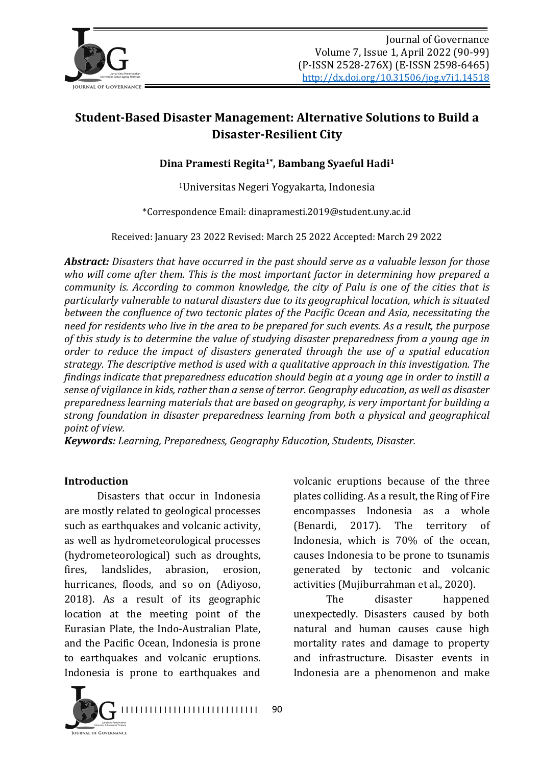

# **Student-Based Disaster Management: Alternative Solutions to Build a Disaster-Resilient City**

Dina Pramesti Regita<sup>1\*</sup>, Bambang Syaeful Hadi<sup>1</sup>

<sup>1</sup>Universitas Negeri Yogyakarta, Indonesia

\*Correspondence Email: dinapramesti.2019@student.uny.ac.id

Received: January 23 2022 Revised: March 25 2022 Accepted: March 29 2022

**Abstract:** Disasters that have occurred in the past should serve as a valuable lesson for those who will come after them. This is the most important factor in determining how prepared a *community is. According to common knowledge, the city of Palu is one of the cities that is* particularly vulnerable to natural disasters due to its geographical location, which is situated *between the confluence of two tectonic plates of the Pacific Ocean and Asia, necessitating the* need for residents who live in the area to be prepared for such events. As a result, the purpose of this study is to determine the value of studying disaster preparedness from a young age in *order to reduce the impact of disasters generated through the use of a spatial education strategy.* The descriptive method is used with a qualitative approach in this investigation. The *findings indicate that preparedness education should begin at a young age in order to instill a* sense of vigilance in kids, rather than a sense of terror. Geography education, as well as disaster *preparedness learning materials that are based on geography, is very important for building a strong foundation in disaster preparedness learning from both a physical and geographical point of view.*

*Keywords: Learning, Preparedness, Geography Education, Students, Disaster.* 

#### **Introduction**

Disasters that occur in Indonesia are mostly related to geological processes such as earthquakes and volcanic activity, as well as hydrometeorological processes (hydrometeorological) such as droughts, fires, landslides, abrasion, erosion, hurricanes, floods, and so on (Adiyoso, 2018). As a result of its geographic location at the meeting point of the Eurasian Plate, the Indo-Australian Plate, and the Pacific Ocean, Indonesia is prone to earthquakes and volcanic eruptions. Indonesia is prone to earthquakes and

volcanic eruptions because of the three plates colliding. As a result, the Ring of Fire encompasses Indonesia as a whole (Benardi, 2017). The territory of Indonesia, which is 70% of the ocean, causes Indonesia to be prone to tsunamis generated by tectonic and volcanic activities (Mujiburrahman et al., 2020).

The disaster happened unexpectedly. Disasters caused by both natural and human causes cause high mortality rates and damage to property and infrastructure. Disaster events in Indonesia are a phenomenon and make



90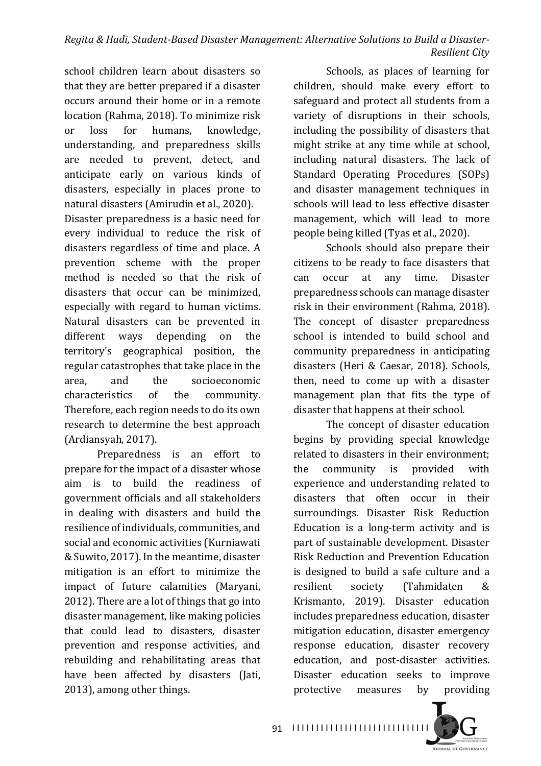school children learn about disasters so that they are better prepared if a disaster occurs around their home or in a remote location (Rahma, 2018). To minimize risk or loss for humans, knowledge, understanding, and preparedness skills are needed to prevent, detect, and anticipate early on various kinds of disasters, especially in places prone to natural disasters (Amirudin et al., 2020).

Disaster preparedness is a basic need for every individual to reduce the risk of disasters regardless of time and place. A prevention scheme with the proper method is needed so that the risk of disasters that occur can be minimized. especially with regard to human victims. Natural disasters can be prevented in different ways depending on the territory's geographical position, the regular catastrophes that take place in the area, and the socioeconomic characteristics of the community. Therefore, each region needs to do its own research to determine the best approach (Ardiansyah, 2017).

Preparedness is an effort to prepare for the impact of a disaster whose aim is to build the readiness of government officials and all stakeholders in dealing with disasters and build the resilience of individuals, communities, and social and economic activities (Kurniawati & Suwito, 2017). In the meantime, disaster mitigation is an effort to minimize the impact of future calamities (Maryani, 2012). There are a lot of things that go into disaster management, like making policies that could lead to disasters, disaster prevention and response activities, and rebuilding and rehabilitating areas that have been affected by disasters (Jati, 2013), among other things.

Schools, as places of learning for children, should make every effort to safeguard and protect all students from a variety of disruptions in their schools, including the possibility of disasters that might strike at any time while at school, including natural disasters. The lack of Standard Operating Procedures (SOPs) and disaster management techniques in schools will lead to less effective disaster management, which will lead to more people being killed (Tyas et al., 2020).

Schools should also prepare their citizens to be ready to face disasters that can occur at any time. Disaster preparedness schools can manage disaster risk in their environment (Rahma, 2018). The concept of disaster preparedness school is intended to build school and community preparedness in anticipating disasters (Heri & Caesar, 2018). Schools, then, need to come up with a disaster management plan that fits the type of disaster that happens at their school.

The concept of disaster education begins by providing special knowledge related to disasters in their environment: the community is provided with experience and understanding related to disasters that often occur in their surroundings. Disaster Risk Reduction Education is a long-term activity and is part of sustainable development. Disaster Risk Reduction and Prevention Education is designed to build a safe culture and a resilient society (Tahmidaten & Krismanto, 2019). Disaster education includes preparedness education, disaster mitigation education, disaster emergency response education, disaster recovery education, and post-disaster activities. Disaster education seeks to improve protective measures by providing

I I I I I I I I I I I I I I I I I I I I I I I I I I I I I 91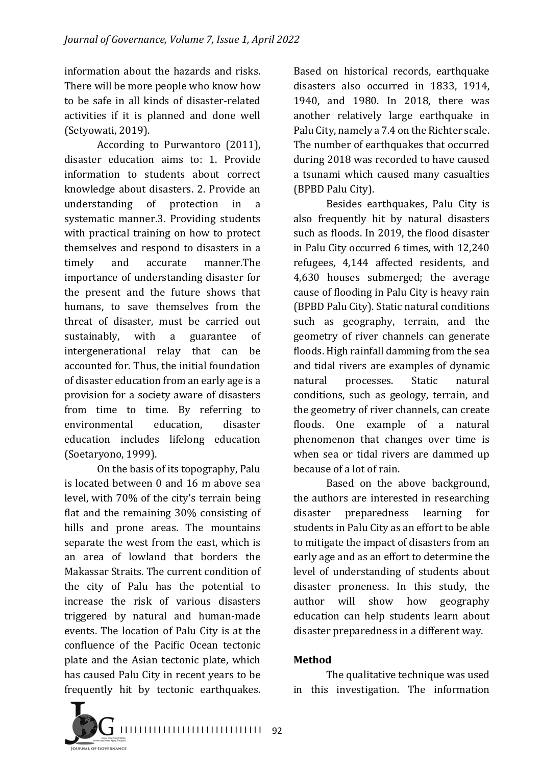information about the hazards and risks. There will be more people who know how to be safe in all kinds of disaster-related activities if it is planned and done well (Setyowati, 2019).

According to Purwantoro (2011), disaster education aims to: 1. Provide information to students about correct knowledge about disasters. 2. Provide an understanding of protection in a systematic manner.3. Providing students with practical training on how to protect themselves and respond to disasters in a timely and accurate manner.The importance of understanding disaster for the present and the future shows that humans, to save themselves from the threat of disaster, must be carried out sustainably, with a guarantee of intergenerational relay that can be accounted for. Thus, the initial foundation of disaster education from an early age is a provision for a society aware of disasters from time to time. By referring to environmental education, disaster education includes lifelong education (Soetaryono, 1999).

On the basis of its topography, Palu is located between 0 and 16 m above sea level, with 70% of the city's terrain being flat and the remaining  $30\%$  consisting of hills and prone areas. The mountains separate the west from the east, which is an area of lowland that borders the Makassar Straits. The current condition of the city of Palu has the potential to increase the risk of various disasters triggered by natural and human-made events. The location of Palu City is at the confluence of the Pacific Ocean tectonic plate and the Asian tectonic plate, which has caused Palu City in recent years to be frequently hit by tectonic earthquakes.

Based on historical records, earthquake disasters also occurred in 1833, 1914, 1940, and 1980. In 2018, there was another relatively large earthquake in Palu City, namely a 7.4 on the Richter scale. The number of earthquakes that occurred during 2018 was recorded to have caused a tsunami which caused many casualties (BPBD Palu City).

Besides earthquakes, Palu City is also frequently hit by natural disasters such as floods. In 2019, the flood disaster in Palu City occurred 6 times, with 12,240 refugees, 4,144 affected residents, and 4,630 houses submerged; the average cause of flooding in Palu City is heavy rain (BPBD Palu City). Static natural conditions such as geography, terrain, and the geometry of river channels can generate floods. High rainfall damming from the sea and tidal rivers are examples of dynamic natural processes. Static natural conditions, such as geology, terrain, and the geometry of river channels, can create floods. One example of a natural phenomenon that changes over time is when sea or tidal rivers are dammed up because of a lot of rain.

Based on the above background, the authors are interested in researching disaster preparedness learning for students in Palu City as an effort to be able to mitigate the impact of disasters from an early age and as an effort to determine the level of understanding of students about disaster proneness. In this study, the author will show how geography education can help students learn about disaster preparedness in a different way.

## **Method**

The qualitative technique was used in this investigation. The information

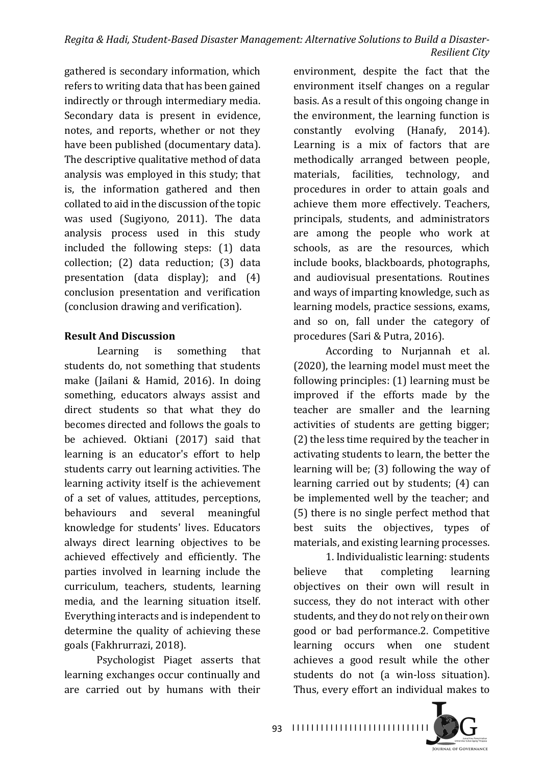gathered is secondary information, which refers to writing data that has been gained indirectly or through intermediary media. Secondary data is present in evidence, notes, and reports, whether or not they have been published (documentary data). The descriptive qualitative method of data analysis was employed in this study; that is, the information gathered and then collated to aid in the discussion of the topic was used (Sugiyono, 2011). The data analysis process used in this study included the following steps: (1) data collection; (2) data reduction; (3) data presentation (data display); and  $(4)$ conclusion presentation and verification (conclusion drawing and verification).

# **Result And Discussion**

Learning is something that students do, not something that students make (Jailani & Hamid, 2016). In doing something, educators always assist and direct students so that what they do becomes directed and follows the goals to be achieved. Oktiani (2017) said that learning is an educator's effort to help students carry out learning activities. The learning activity itself is the achievement of a set of values, attitudes, perceptions, behaviours and several meaningful knowledge for students' lives. Educators always direct learning objectives to be achieved effectively and efficiently. The parties involved in learning include the curriculum, teachers, students, learning media, and the learning situation itself. Everything interacts and is independent to determine the quality of achieving these goals (Fakhrurrazi, 2018).

Psychologist Piaget asserts that learning exchanges occur continually and are carried out by humans with their

environment, despite the fact that the environment itself changes on a regular basis. As a result of this ongoing change in the environment, the learning function is constantly evolving (Hanafy, 2014). Learning is a mix of factors that are methodically arranged between people, materials, facilities, technology, and procedures in order to attain goals and achieve them more effectively. Teachers, principals, students, and administrators are among the people who work at schools, as are the resources, which include books, blackboards, photographs, and audiovisual presentations. Routines and ways of imparting knowledge, such as learning models, practice sessions, exams, and so on, fall under the category of procedures (Sari & Putra, 2016).

According to Nurjannah et al. (2020), the learning model must meet the following principles:  $(1)$  learning must be improved if the efforts made by the teacher are smaller and the learning activities of students are getting bigger;  $(2)$  the less time required by the teacher in activating students to learn, the better the learning will be;  $(3)$  following the way of learning carried out by students; (4) can be implemented well by the teacher; and (5) there is no single perfect method that best suits the objectives, types of materials, and existing learning processes.

1. Individualistic learning: students believe that completing learning objectives on their own will result in success, they do not interact with other students, and they do not rely on their own good or bad performance.2. Competitive learning occurs when one student achieves a good result while the other students do not (a win-loss situation). Thus, every effort an individual makes to

I I I I I I I I I I I I I I I I I I I I I I I I I I I I I 93

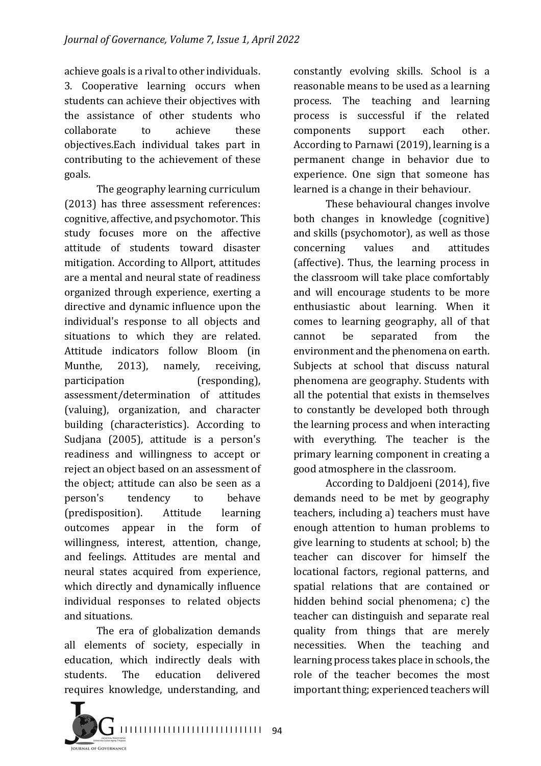achieve goals is a rival to other individuals. 3. Cooperative learning occurs when students can achieve their objectives with the assistance of other students who collaborate to achieve these objectives.Each individual takes part in contributing to the achievement of these goals.

The geography learning curriculum  $(2013)$  has three assessment references: cognitive, affective, and psychomotor. This study focuses more on the affective attitude of students toward disaster mitigation. According to Allport, attitudes are a mental and neural state of readiness organized through experience, exerting a directive and dynamic influence upon the individual's response to all objects and situations to which they are related. Attitude indicators follow Bloom (in Munthe, 2013), namely, receiving, participation (responding), assessment/determination of attitudes (valuing), organization, and character building (characteristics). According to Sudjana (2005), attitude is a person's readiness and willingness to accept or reject an object based on an assessment of the object; attitude can also be seen as a person's tendency to behave (predisposition). Attitude learning outcomes appear in the form of willingness, interest, attention, change, and feelings. Attitudes are mental and neural states acquired from experience, which directly and dynamically influence individual responses to related objects and situations.

The era of globalization demands all elements of society, especially in education, which indirectly deals with students. The education delivered requires knowledge, understanding, and



These behavioural changes involve both changes in knowledge (cognitive) and skills (psychomotor), as well as those concerning values and attitudes (affective). Thus, the learning process in the classroom will take place comfortably and will encourage students to be more enthusiastic about learning. When it comes to learning geography, all of that cannot be separated from the environment and the phenomena on earth. Subjects at school that discuss natural phenomena are geography. Students with all the potential that exists in themselves to constantly be developed both through the learning process and when interacting with everything. The teacher is the primary learning component in creating a good atmosphere in the classroom.

According to Daldjoeni (2014), five demands need to be met by geography teachers, including a) teachers must have enough attention to human problems to give learning to students at school; b) the teacher can discover for himself the locational factors, regional patterns, and spatial relations that are contained or hidden behind social phenomena;  $c$ ) the teacher can distinguish and separate real quality from things that are merely necessities. When the teaching and learning process takes place in schools, the role of the teacher becomes the most important thing; experienced teachers will

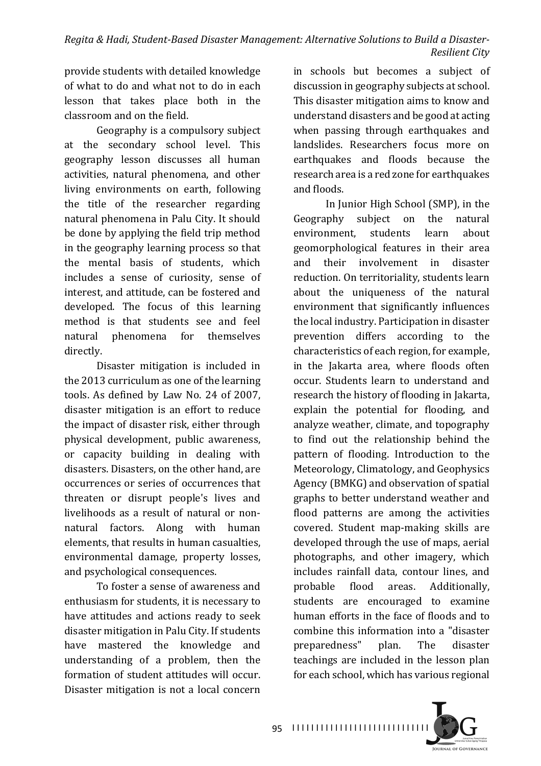provide students with detailed knowledge of what to do and what not to do in each lesson that takes place both in the classroom and on the field.

Geography is a compulsory subject at the secondary school level. This geography lesson discusses all human activities, natural phenomena, and other living environments on earth, following the title of the researcher regarding natural phenomena in Palu City. It should be done by applying the field trip method in the geography learning process so that the mental basis of students, which includes a sense of curiosity, sense of interest, and attitude, can be fostered and developed. The focus of this learning method is that students see and feel natural phenomena for themselves directly.

Disaster mitigation is included in the 2013 curriculum as one of the learning tools. As defined by Law No. 24 of 2007. disaster mitigation is an effort to reduce the impact of disaster risk, either through physical development, public awareness, or capacity building in dealing with disasters. Disasters, on the other hand, are occurrences or series of occurrences that threaten or disrupt people's lives and livelihoods as a result of natural or nonnatural factors. Along with human elements, that results in human casualties, environmental damage, property losses, and psychological consequences.

To foster a sense of awareness and enthusiasm for students, it is necessary to have attitudes and actions ready to seek disaster mitigation in Palu City. If students have mastered the knowledge and understanding of a problem, then the formation of student attitudes will occur. Disaster mitigation is not a local concern in schools but becomes a subject of discussion in geography subjects at school. This disaster mitigation aims to know and understand disasters and be good at acting when passing through earthquakes and landslides. Researchers focus more on earthquakes and floods because the research area is a red zone for earthquakes and floods.

In Junior High School (SMP), in the Geography subject on the natural environment, students learn about geomorphological features in their area and their involvement in disaster reduction. On territoriality, students learn about the uniqueness of the natural environment that significantly influences the local industry. Participation in disaster prevention differs according to the characteristics of each region, for example, in the Jakarta area, where floods often occur. Students learn to understand and research the history of flooding in Jakarta, explain the potential for flooding, and analyze weather, climate, and topography to find out the relationship behind the pattern of flooding. Introduction to the Meteorology, Climatology, and Geophysics Agency (BMKG) and observation of spatial graphs to better understand weather and flood patterns are among the activities covered. Student map-making skills are developed through the use of maps, aerial photographs, and other imagery, which includes rainfall data, contour lines, and probable flood areas. Additionally, students are encouraged to examine human efforts in the face of floods and to combine this information into a "disaster preparedness" plan. The disaster teachings are included in the lesson plan for each school, which has various regional

I I I I I I I I I I I I I I I I I I I I I I I I I I I I I 95

**DURNAL OF GOVERNANCE**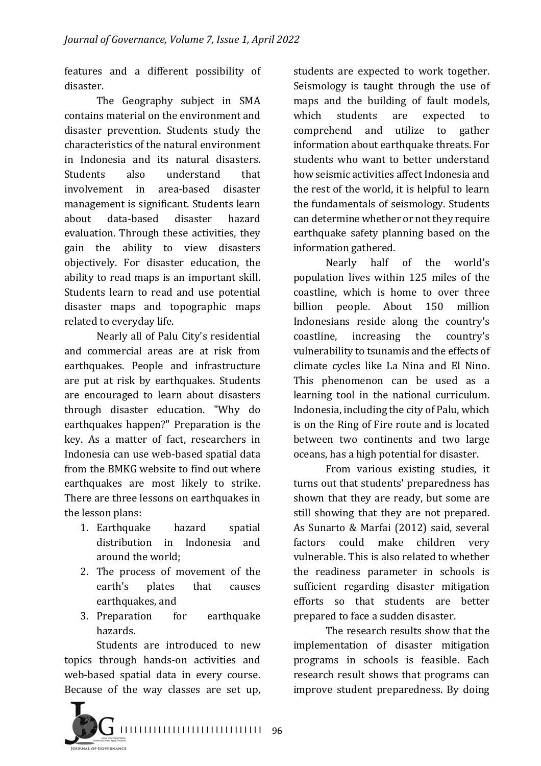features and a different possibility of disaster.

The Geography subject in SMA contains material on the environment and disaster prevention. Students study the characteristics of the natural environment in Indonesia and its natural disasters. Students also understand that involvement in area-based disaster management is significant. Students learn about data-based disaster hazard evaluation. Through these activities, they gain the ability to view disasters objectively. For disaster education, the ability to read maps is an important skill. Students learn to read and use potential disaster maps and topographic maps related to everyday life.

Nearly all of Palu City's residential and commercial areas are at risk from earthquakes. People and infrastructure are put at risk by earthquakes. Students are encouraged to learn about disasters through disaster education. "Why do earthquakes happen?" Preparation is the key. As a matter of fact, researchers in Indonesia can use web-based spatial data from the BMKG website to find out where earthquakes are most likely to strike. There are three lessons on earthquakes in the lesson plans:

- 1. Earthquake hazard spatial distribution in Indonesia and around the world:
- 2. The process of movement of the earth's plates that causes earthquakes, and
- 3. Preparation for earthquake hazards.

Students are introduced to new topics through hands-on activities and web-based spatial data in every course. Because of the way classes are set up, students are expected to work together. Seismology is taught through the use of maps and the building of fault models, which students are expected to comprehend and utilize to gather information about earthquake threats. For students who want to better understand how seismic activities affect Indonesia and the rest of the world, it is helpful to learn the fundamentals of seismology. Students can determine whether or not they require earthquake safety planning based on the information gathered.

Nearly half of the world's population lives within 125 miles of the coastline, which is home to over three billion people. About 150 million Indonesians reside along the country's coastline, increasing the country's vulnerability to tsunamis and the effects of climate cycles like La Nina and El Nino. This phenomenon can be used as a learning tool in the national curriculum. Indonesia, including the city of Palu, which is on the Ring of Fire route and is located between two continents and two large oceans, has a high potential for disaster.

From various existing studies, it turns out that students' preparedness has shown that they are ready, but some are still showing that they are not prepared. As Sunarto & Marfai (2012) said, several factors could make children very vulnerable. This is also related to whether the readiness parameter in schools is sufficient regarding disaster mitigation efforts so that students are better prepared to face a sudden disaster.

The research results show that the implementation of disaster mitigation programs in schools is feasible. Each research result shows that programs can improve student preparedness. By doing

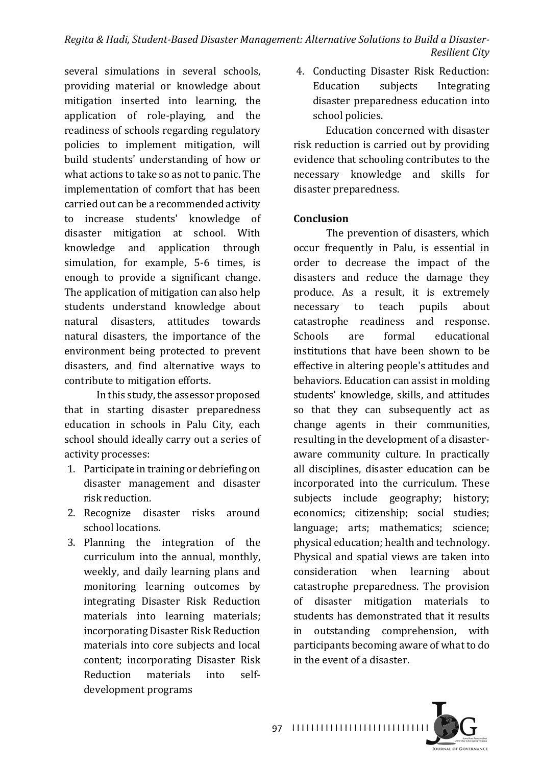several simulations in several schools, providing material or knowledge about mitigation inserted into learning, the application of role-playing, and the readiness of schools regarding regulatory policies to implement mitigation, will build students' understanding of how or what actions to take so as not to panic. The implementation of comfort that has been carried out can be a recommended activity to increase students' knowledge of disaster mitigation at school. With knowledge and application through simulation, for example, 5-6 times, is enough to provide a significant change. The application of mitigation can also help students understand knowledge about natural disasters, attitudes towards natural disasters, the importance of the environment being protected to prevent disasters, and find alternative ways to contribute to mitigation efforts.

In this study, the assessor proposed that in starting disaster preparedness education in schools in Palu City, each school should ideally carry out a series of activity processes:

- 1. Participate in training or debriefing on disaster management and disaster risk reduction.
- 2. Recognize disaster risks around school locations.
- 3. Planning the integration of the curriculum into the annual, monthly, weekly, and daily learning plans and monitoring learning outcomes by integrating Disaster Risk Reduction materials into learning materials; incorporating Disaster Risk Reduction materials into core subjects and local content; incorporating Disaster Risk Reduction materials into selfdevelopment programs

4. Conducting Disaster Risk Reduction: Education subjects Integrating disaster preparedness education into school policies.

Education concerned with disaster risk reduction is carried out by providing evidence that schooling contributes to the necessary knowledge and skills for disaster preparedness.

## **Conclusion**

The prevention of disasters, which occur frequently in Palu, is essential in order to decrease the impact of the disasters and reduce the damage they produce. As a result, it is extremely necessary to teach pupils about catastrophe readiness and response. Schools are formal educational institutions that have been shown to be effective in altering people's attitudes and behaviors. Education can assist in molding students' knowledge, skills, and attitudes so that they can subsequently act as change agents in their communities, resulting in the development of a disasteraware community culture. In practically all disciplines, disaster education can be incorporated into the curriculum. These subjects include geography; history; economics; citizenship; social studies; language; arts; mathematics; science; physical education; health and technology. Physical and spatial views are taken into consideration when learning about catastrophe preparedness. The provision of disaster mitigation materials to students has demonstrated that it results in outstanding comprehension, with participants becoming aware of what to do in the event of a disaster.

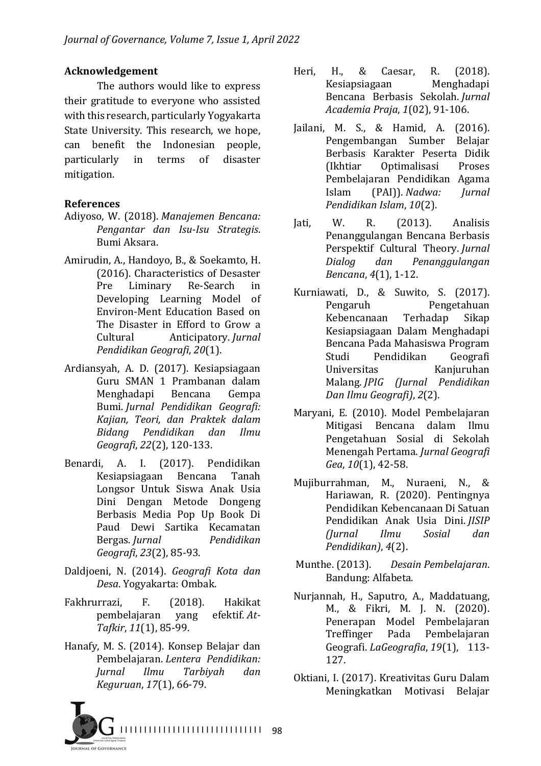# **Acknowledgement**

The authors would like to express their gratitude to everyone who assisted with this research, particularly Yogyakarta State University. This research, we hope, can benefit the Indonesian people, particularly in terms of disaster mitigation.

# **References**

- Adiyoso, W. (2018). *Manajemen Bencana: Pengantar dan Isu-Isu Strategis*. Bumi Aksara.
- Amirudin, A., Handoyo, B., & Soekamto, H. (2016). Characteristics of Desaster Pre Liminary Re-Search in Developing Learning Model of Environ-Ment Education Based on The Disaster in Efford to Grow a Cultural Anticipatory. *Jurnal Pendidikan Geografi*, *20*(1).
- Ardiansyah, A. D. (2017). Kesiapsiagaan Guru SMAN 1 Prambanan dalam Menghadapi Bencana Gempa Bumi. *Jurnal Pendidikan Geografi: Kajian, Teori, dan Praktek dalam Bidang Pendidikan dan Ilmu Geografi*, *22*(2), 120-133.
- Benardi, A. I. (2017). Pendidikan Kesiapsiagaan Bencana Tanah Longsor Untuk Siswa Anak Usia Dini Dengan Metode Dongeng Berbasis Media Pop Up Book Di Paud Dewi Sartika Kecamatan Bergas. *Jurnal Pendidikan Geografi*, *23*(2), 85-93.
- Daldjoeni, N. (2014). *Geografi Kota dan Desa*. Yogyakarta: Ombak.
- Fakhrurrazi, F. (2018). Hakikat pembelajaran yang efektif. *At-Tafkir*, *11*(1), 85-99.
- Hanafy, M. S. (2014). Konsep Belajar dan Pembelajaran. *Lentera Pendidikan: Jurnal Ilmu Tarbiyah dan Keguruan*, *17*(1), 66-79.



- Jailani, M. S., & Hamid, A. (2016). Pengembangan Sumber Belajar Berbasis Karakter Peserta Didik (Ikhtiar Optimalisasi Proses Pembelajaran Pendidikan Agama Islam (PAI)). *Nadwa: Jurnal Pendidikan Islam*, *10*(2).
- Jati, W. R.  $(2013)$ . Analisis Penanggulangan Bencana Berbasis Perspektif Cultural Theory. *Jurnal Dialog dan Penanggulangan Bencana*,  $4(1)$ , 1-12.
- Kurniawati, D., & Suwito, S. (2017). Pengaruh Pengetahuan Kebencanaan Terhadap Sikap Kesiapsiagaan Dalam Menghadapi Bencana Pada Mahasiswa Program Studi Pendidikan Geografi Universitas Kanjuruhan Malang. *JPIG (Jurnal Pendidikan Dan Ilmu Geografi)*, *2*(2).
- Maryani, E. (2010). Model Pembelajaran Mitigasi Bencana dalam Ilmu Pengetahuan Sosial di Sekolah Menengah Pertama. *Jurnal Geografi Gea*, *10*(1), 42-58.
- Mujiburrahman, M., Nuraeni, N., & Hariawan, R. (2020). Pentingnya Pendidikan Kebencanaan Di Satuan Pendidikan Anak Usia Dini. *JISIP (Jurnal Ilmu Sosial dan Pendidikan)*, *4*(2).
- Munthe. (2013). *Desain Pembelajaran*. Bandung: Alfabeta.
- Nurjannah, H., Saputro, A., Maddatuang, M., & Fikri, M. J. N. (2020). Penerapan Model Pembelajaran Treffinger Pada Pembelajaran Geografi. *LaGeografia*, *19*(1), 113- 127.
- Oktiani, I. (2017). Kreativitas Guru Dalam Meningkatkan Motivasi Belajar